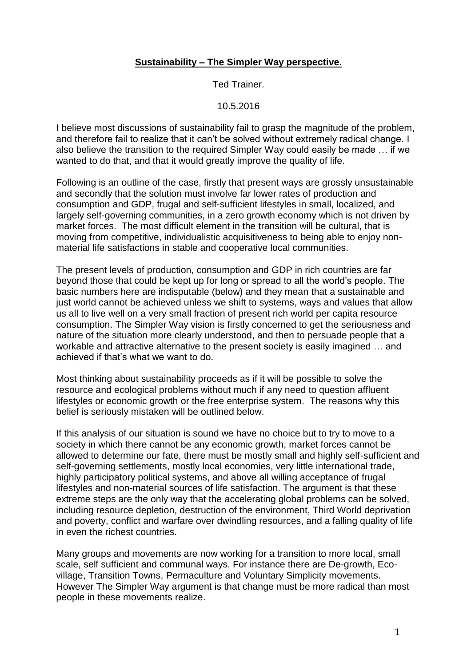#### **Sustainability – The Simpler Way perspective.**

Ted Trainer.

10.5.2016

I believe most discussions of sustainability fail to grasp the magnitude of the problem, and therefore fail to realize that it can't be solved without extremely radical change. I also believe the transition to the required Simpler Way could easily be made … if we wanted to do that, and that it would greatly improve the quality of life.

Following is an outline of the case, firstly that present ways are grossly unsustainable and secondly that the solution must involve far lower rates of production and consumption and GDP, frugal and self-sufficient lifestyles in small, localized, and largely self-governing communities, in a zero growth economy which is not driven by market forces. The most difficult element in the transition will be cultural, that is moving from competitive, individualistic acquisitiveness to being able to enjoy nonmaterial life satisfactions in stable and cooperative local communities.

The present levels of production, consumption and GDP in rich countries are far beyond those that could be kept up for long or spread to all the world's people. The basic numbers here are indisputable (below) and they mean that a sustainable and just world cannot be achieved unless we shift to systems, ways and values that allow us all to live well on a very small fraction of present rich world per capita resource consumption. The Simpler Way vision is firstly concerned to get the seriousness and nature of the situation more clearly understood, and then to persuade people that a workable and attractive alternative to the present society is easily imagined … and achieved if that's what we want to do.

Most thinking about sustainability proceeds as if it will be possible to solve the resource and ecological problems without much if any need to question affluent lifestyles or economic growth or the free enterprise system. The reasons why this belief is seriously mistaken will be outlined below.

If this analysis of our situation is sound we have no choice but to try to move to a society in which there cannot be any economic growth, market forces cannot be allowed to determine our fate, there must be mostly small and highly self-sufficient and self-governing settlements, mostly local economies, very little international trade, highly participatory political systems, and above all willing acceptance of frugal lifestyles and non-material sources of life satisfaction. The argument is that these extreme steps are the only way that the accelerating global problems can be solved, including resource depletion, destruction of the environment, Third World deprivation and poverty, conflict and warfare over dwindling resources, and a falling quality of life in even the richest countries.

Many groups and movements are now working for a transition to more local, small scale, self sufficient and communal ways. For instance there are De-growth, Ecovillage, Transition Towns, Permaculture and Voluntary Simplicity movements. However The Simpler Way argument is that change must be more radical than most people in these movements realize.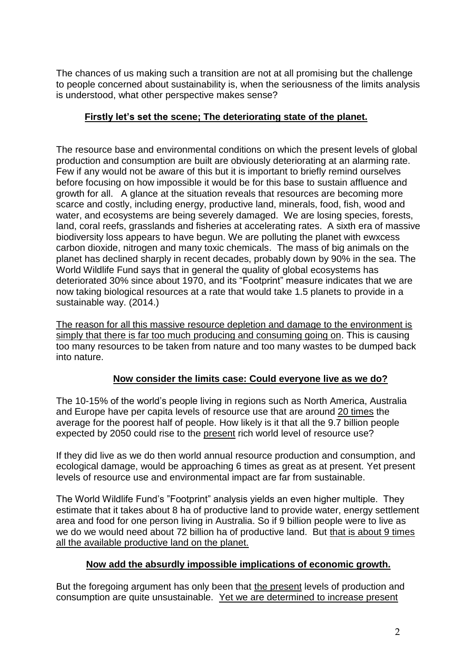The chances of us making such a transition are not at all promising but the challenge to people concerned about sustainability is, when the seriousness of the limits analysis is understood, what other perspective makes sense?

# **Firstly let's set the scene; The deteriorating state of the planet.**

The resource base and environmental conditions on which the present levels of global production and consumption are built are obviously deteriorating at an alarming rate. Few if any would not be aware of this but it is important to briefly remind ourselves before focusing on how impossible it would be for this base to sustain affluence and growth for all. A glance at the situation reveals that resources are becoming more scarce and costly, including energy, productive land, minerals, food, fish, wood and water, and ecosystems are being severely damaged. We are losing species, forests, land, coral reefs, grasslands and fisheries at accelerating rates. A sixth era of massive biodiversity loss appears to have begun. We are polluting the planet with ewxcess carbon dioxide, nitrogen and many toxic chemicals. The mass of big animals on the planet has declined sharply in recent decades, probably down by 90% in the sea. The World Wildlife Fund says that in general the quality of global ecosystems has deteriorated 30% since about 1970, and its "Footprint" measure indicates that we are now taking biological resources at a rate that would take 1.5 planets to provide in a sustainable way. (2014.)

The reason for all this massive resource depletion and damage to the environment is simply that there is far too much producing and consuming going on. This is causing too many resources to be taken from nature and too many wastes to be dumped back into nature.

## **Now consider the limits case: Could everyone live as we do?**

The 10-15% of the world's people living in regions such as North America, Australia and Europe have per capita levels of resource use that are around 20 times the average for the poorest half of people. How likely is it that all the 9.7 billion people expected by 2050 could rise to the present rich world level of resource use?

If they did live as we do then world annual resource production and consumption, and ecological damage, would be approaching 6 times as great as at present. Yet present levels of resource use and environmental impact are far from sustainable.

The World Wildlife Fund's "Footprint" analysis yields an even higher multiple. They estimate that it takes about 8 ha of productive land to provide water, energy settlement area and food for one person living in Australia. So if 9 billion people were to live as we do we would need about 72 billion ha of productive land. But that is about 9 times all the available productive land on the planet.

## **Now add the absurdly impossible implications of economic growth.**

But the foregoing argument has only been that the present levels of production and consumption are quite unsustainable. Yet we are determined to increase present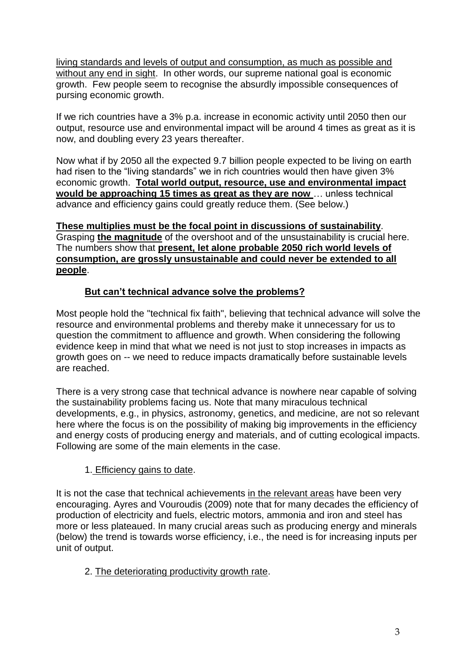living standards and levels of output and consumption, as much as possible and without any end in sight. In other words, our supreme national goal is economic growth.Few people seem to recognise the absurdly impossible consequences of pursing economic growth.

If we rich countries have a 3% p.a. increase in economic activity until 2050 then our output, resource use and environmental impact will be around 4 times as great as it is now, and doubling every 23 years thereafter.

Now what if by 2050 all the expected 9.7 billion people expected to be living on earth had risen to the "living standards" we in rich countries would then have given 3% economic growth. **Total world output, resource, use and environmental impact would be approaching 15 times as great as they are now** … unless technical advance and efficiency gains could greatly reduce them. (See below.)

## **These multiplies must be the focal point in discussions of sustainability**.

Grasping **the magnitude** of the overshoot and of the unsustainability is crucial here. The numbers show that **present, let alone probable 2050 rich world levels of consumption, are grossly unsustainable and could never be extended to all people**.

# **But can't technical advance solve the problems?**

Most people hold the "technical fix faith", believing that technical advance will solve the resource and environmental problems and thereby make it unnecessary for us to question the commitment to affluence and growth. When considering the following evidence keep in mind that what we need is not just to stop increases in impacts as growth goes on -- we need to reduce impacts dramatically before sustainable levels are reached.

There is a very strong case that technical advance is nowhere near capable of solving the sustainability problems facing us. Note that many miraculous technical developments, e.g., in physics, astronomy, genetics, and medicine, are not so relevant here where the focus is on the possibility of making big improvements in the efficiency and energy costs of producing energy and materials, and of cutting ecological impacts. Following are some of the main elements in the case.

## 1. Efficiency gains to date.

It is not the case that technical achievements in the relevant areas have been very encouraging. Ayres and Vouroudis (2009) note that for many decades the efficiency of production of electricity and fuels, electric motors, ammonia and iron and steel has more or less plateaued. In many crucial areas such as producing energy and minerals (below) the trend is towards worse efficiency, i.e., the need is for increasing inputs per unit of output.

## 2. The deteriorating productivity growth rate.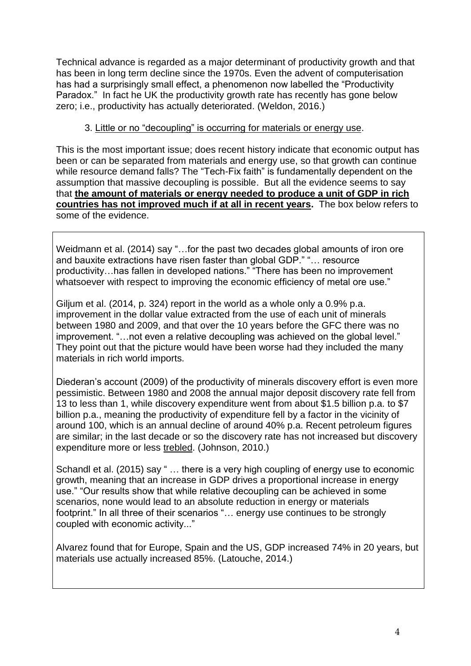Technical advance is regarded as a major determinant of productivity growth and that has been in long term decline since the 1970s. Even the advent of computerisation has had a surprisingly small effect, a phenomenon now labelled the "Productivity Paradox." In fact he UK the productivity growth rate has recently has gone below zero; i.e., productivity has actually deteriorated. (Weldon, 2016.)

### 3. Little or no "decoupling" is occurring for materials or energy use.

This is the most important issue; does recent history indicate that economic output has been or can be separated from materials and energy use, so that growth can continue while resource demand falls? The "Tech-Fix faith" is fundamentally dependent on the assumption that massive decoupling is possible. But all the evidence seems to say that **the amount of materials or energy needed to produce a unit of GDP in rich countries has not improved much if at all in recent years.** The box below refers to some of the evidence.

Weidmann et al. (2014) say "…for the past two decades global amounts of iron ore and bauxite extractions have risen faster than global GDP." "… resource productivity…has fallen in developed nations." "There has been no improvement whatsoever with respect to improving the economic efficiency of metal ore use."

Giljum et al. (2014, p. 324) report in the world as a whole only a 0.9% p.a. improvement in the dollar value extracted from the use of each unit of minerals between 1980 and 2009, and that over the 10 years before the GFC there was no improvement. "…not even a relative decoupling was achieved on the global level." They point out that the picture would have been worse had they included the many materials in rich world imports.

Diederan's account (2009) of the productivity of minerals discovery effort is even more pessimistic. Between 1980 and 2008 the annual major deposit discovery rate fell from 13 to less than 1, while discovery expenditure went from about \$1.5 billion p.a. to \$7 billion p.a., meaning the productivity of expenditure fell by a factor in the vicinity of around 100, which is an annual decline of around 40% p.a. Recent petroleum figures are similar; in the last decade or so the discovery rate has not increased but discovery expenditure more or less trebled. (Johnson, 2010.)

Schandl et al. (2015) say " … there is a very high coupling of energy use to economic growth, meaning that an increase in GDP drives a proportional increase in energy use." "Our results show that while relative decoupling can be achieved in some scenarios, none would lead to an absolute reduction in energy or materials footprint." In all three of their scenarios "… energy use continues to be strongly coupled with economic activity..."

Alvarez found that for Europe, Spain and the US, GDP increased 74% in 20 years, but materials use actually increased 85%. (Latouche, 2014.)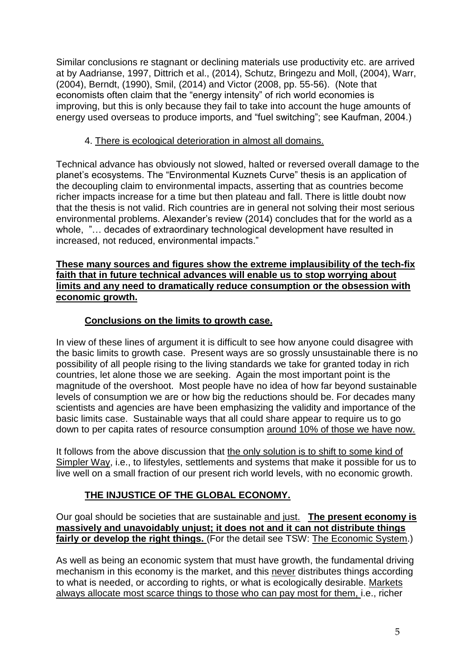Similar conclusions re stagnant or declining materials use productivity etc. are arrived at by Aadrianse, 1997, Dittrich et al., (2014), Schutz, Bringezu and Moll, (2004), Warr, (2004), Berndt, (1990), Smil, (2014) and Victor (2008, pp. 55-56). (Note that economists often claim that the "energy intensity" of rich world economies is improving, but this is only because they fail to take into account the huge amounts of energy used overseas to produce imports, and "fuel switching"; see Kaufman, 2004.)

### 4. There is ecological deterioration in almost all domains.

Technical advance has obviously not slowed, halted or reversed overall damage to the planet's ecosystems. The "Environmental Kuznets Curve" thesis is an application of the decoupling claim to environmental impacts, asserting that as countries become richer impacts increase for a time but then plateau and fall. There is little doubt now that the thesis is not valid. Rich countries are in general not solving their most serious environmental problems. Alexander's review (2014) concludes that for the world as a whole, "… decades of extraordinary technological development have resulted in increased, not reduced, environmental impacts."

#### **These many sources and figures show the extreme implausibility of the tech-fix faith that in future technical advances will enable us to stop worrying about limits and any need to dramatically reduce consumption or the obsession with economic growth.**

## **Conclusions on the limits to growth case.**

In view of these lines of argument it is difficult to see how anyone could disagree with the basic limits to growth case. Present ways are so grossly unsustainable there is no possibility of all people rising to the living standards we take for granted today in rich countries, let alone those we are seeking. Again the most important point is the magnitude of the overshoot. Most people have no idea of how far beyond sustainable levels of consumption we are or how big the reductions should be. For decades many scientists and agencies are have been emphasizing the validity and importance of the basic limits case. Sustainable ways that all could share appear to require us to go down to per capita rates of resource consumption around 10% of those we have now.

It follows from the above discussion that the only solution is to shift to some kind of Simpler Way, i.e., to lifestyles, settlements and systems that make it possible for us to live well on a small fraction of our present rich world levels, with no economic growth.

## **THE INJUSTICE OF THE GLOBAL ECONOMY.**

Our goal should be societies that are sustainable and just. **The present economy is massively and unavoidably unjust; it does not and it can not distribute things fairly or develop the right things.** (For the detail see TSW: The Economic System.)

As well as being an economic system that must have growth, the fundamental driving mechanism in this economy is the market, and this never distributes things according to what is needed, or according to rights, or what is ecologically desirable. Markets always allocate most scarce things to those who can pay most for them, i.e., richer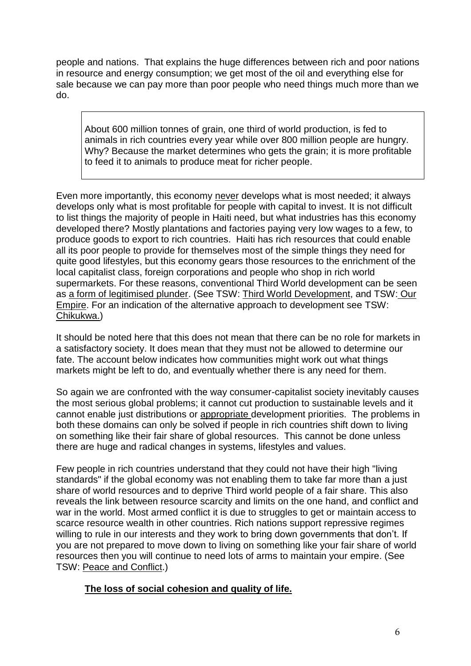people and nations. That explains the huge differences between rich and poor nations in resource and energy consumption; we get most of the oil and everything else for sale because we can pay more than poor people who need things much more than we do.

About 600 million tonnes of grain, one third of world production, is fed to animals in rich countries every year while over 800 million people are hungry. Why? Because the market determines who gets the grain; it is more profitable to feed it to animals to produce meat for richer people.

Even more importantly, this economy never develops what is most needed; it always develops only what is most profitable for people with capital to invest. It is not difficult to list things the majority of people in Haiti need, but what industries has this economy developed there? Mostly plantations and factories paying very low wages to a few, to produce goods to export to rich countries. Haiti has rich resources that could enable all its poor people to provide for themselves most of the simple things they need for quite good lifestyles, but this economy gears those resources to the enrichment of the local capitalist class, foreign corporations and people who shop in rich world supermarkets. For these reasons, conventional Third World development can be seen as a form of legitimised plunder. (See TSW: Third World Development, and TSW: Our Empire. For an indication of the alternative approach to development see TSW: Chikukwa.)

It should be noted here that this does not mean that there can be no role for markets in a satisfactory society. It does mean that they must not be allowed to determine our fate. The account below indicates how communities might work out what things markets might be left to do, and eventually whether there is any need for them.

So again we are confronted with the way consumer-capitalist society inevitably causes the most serious global problems; it cannot cut production to sustainable levels and it cannot enable just distributions or appropriate development priorities. The problems in both these domains can only be solved if people in rich countries shift down to living on something like their fair share of global resources. This cannot be done unless there are huge and radical changes in systems, lifestyles and values.

Few people in rich countries understand that they could not have their high "living standards" if the global economy was not enabling them to take far more than a just share of world resources and to deprive Third world people of a fair share. This also reveals the link between resource scarcity and limits on the one hand, and conflict and war in the world. Most armed conflict it is due to struggles to get or maintain access to scarce resource wealth in other countries. Rich nations support repressive regimes willing to rule in our interests and they work to bring down governments that don't. If you are not prepared to move down to living on something like your fair share of world resources then you will continue to need lots of arms to maintain your empire. (See TSW: Peace and Conflict.)

## **The loss of social cohesion and quality of life.**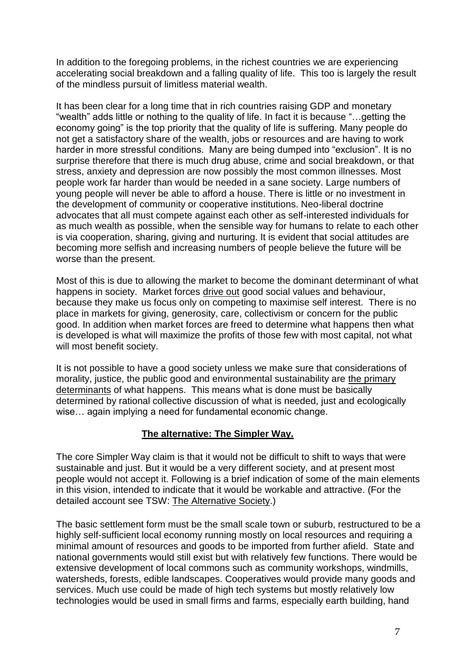In addition to the foregoing problems, in the richest countries we are experiencing accelerating social breakdown and a falling quality of life. This too is largely the result of the mindless pursuit of limitless material wealth.

It has been clear for a long time that in rich countries raising GDP and monetary "wealth" adds little or nothing to the quality of life. In fact it is because "…getting the economy going" is the top priority that the quality of life is suffering. Many people do not get a satisfactory share of the wealth, jobs or resources and are having to work harder in more stressful conditions. Many are being dumped into "exclusion". It is no surprise therefore that there is much drug abuse, crime and social breakdown, or that stress, anxiety and depression are now possibly the most common illnesses. Most people work far harder than would be needed in a sane society. Large numbers of young people will never be able to afford a house. There is little or no investment in the development of community or cooperative institutions. Neo-liberal doctrine advocates that all must compete against each other as self-interested individuals for as much wealth as possible, when the sensible way for humans to relate to each other is via cooperation, sharing, giving and nurturing. It is evident that social attitudes are becoming more selfish and increasing numbers of people believe the future will be worse than the present.

Most of this is due to allowing the market to become the dominant determinant of what happens in society. Market forces drive out good social values and behaviour, because they make us focus only on competing to maximise self interest. There is no place in markets for giving, generosity, care, collectivism or concern for the public good. In addition when market forces are freed to determine what happens then what is developed is what will maximize the profits of those few with most capital, not what will most benefit society.

It is not possible to have a good society unless we make sure that considerations of morality, justice, the public good and environmental sustainability are the primary determinants of what happens. This means what is done must be basically determined by rational collective discussion of what is needed, just and ecologically wise… again implying a need for fundamental economic change.

## **The alternative: The Simpler Way.**

The core Simpler Way claim is that it would not be difficult to shift to ways that were sustainable and just. But it would be a very different society, and at present most people would not accept it. Following is a brief indication of some of the main elements in this vision, intended to indicate that it would be workable and attractive. (For the detailed account see TSW: The Alternative Society.)

The basic settlement form must be the small scale town or suburb, restructured to be a highly self-sufficient local economy running mostly on local resources and requiring a minimal amount of resources and goods to be imported from further afield. State and national governments would still exist but with relatively few functions. There would be extensive development of local commons such as community workshops, windmills, watersheds, forests, edible landscapes. Cooperatives would provide many goods and services. Much use could be made of high tech systems but mostly relatively low technologies would be used in small firms and farms, especially earth building, hand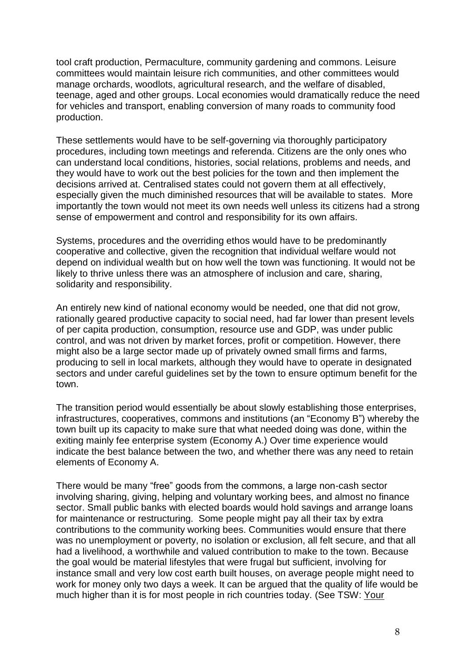tool craft production, Permaculture, community gardening and commons. Leisure committees would maintain leisure rich communities, and other committees would manage orchards, woodlots, agricultural research, and the welfare of disabled, teenage, aged and other groups. Local economies would dramatically reduce the need for vehicles and transport, enabling conversion of many roads to community food production.

These settlements would have to be self-governing via thoroughly participatory procedures, including town meetings and referenda. Citizens are the only ones who can understand local conditions, histories, social relations, problems and needs, and they would have to work out the best policies for the town and then implement the decisions arrived at. Centralised states could not govern them at all effectively, especially given the much diminished resources that will be available to states. More importantly the town would not meet its own needs well unless its citizens had a strong sense of empowerment and control and responsibility for its own affairs.

Systems, procedures and the overriding ethos would have to be predominantly cooperative and collective, given the recognition that individual welfare would not depend on individual wealth but on how well the town was functioning. It would not be likely to thrive unless there was an atmosphere of inclusion and care, sharing, solidarity and responsibility.

An entirely new kind of national economy would be needed, one that did not grow, rationally geared productive capacity to social need, had far lower than present levels of per capita production, consumption, resource use and GDP, was under public control, and was not driven by market forces, profit or competition. However, there might also be a large sector made up of privately owned small firms and farms, producing to sell in local markets, although they would have to operate in designated sectors and under careful guidelines set by the town to ensure optimum benefit for the town.

The transition period would essentially be about slowly establishing those enterprises, infrastructures, cooperatives, commons and institutions (an "Economy B") whereby the town built up its capacity to make sure that what needed doing was done, within the exiting mainly fee enterprise system (Economy A.) Over time experience would indicate the best balance between the two, and whether there was any need to retain elements of Economy A.

There would be many "free" goods from the commons, a large non-cash sector involving sharing, giving, helping and voluntary working bees, and almost no finance sector. Small public banks with elected boards would hold savings and arrange loans for maintenance or restructuring. Some people might pay all their tax by extra contributions to the community working bees. Communities would ensure that there was no unemployment or poverty, no isolation or exclusion, all felt secure, and that all had a livelihood, a worthwhile and valued contribution to make to the town. Because the goal would be material lifestyles that were frugal but sufficient, involving for instance small and very low cost earth built houses, on average people might need to work for money only two days a week. It can be argued that the quality of life would be much higher than it is for most people in rich countries today. (See TSW: Your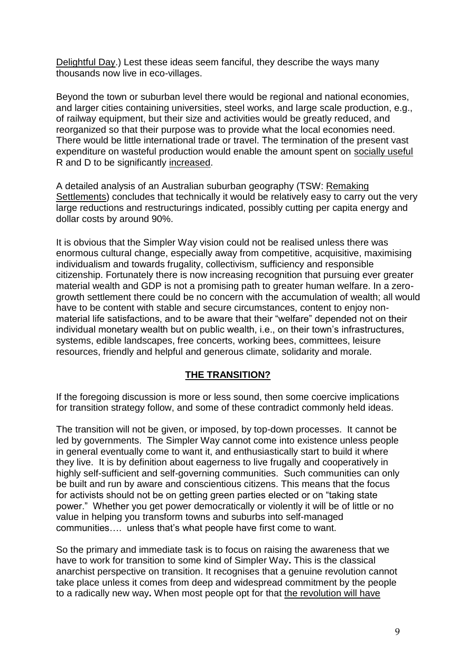Delightful Day.) Lest these ideas seem fanciful, they describe the ways many thousands now live in eco-villages.

Beyond the town or suburban level there would be regional and national economies, and larger cities containing universities, steel works, and large scale production, e.g., of railway equipment, but their size and activities would be greatly reduced, and reorganized so that their purpose was to provide what the local economies need. There would be little international trade or travel. The termination of the present vast expenditure on wasteful production would enable the amount spent on socially useful R and D to be significantly increased.

A detailed analysis of an Australian suburban geography (TSW: Remaking Settlements) concludes that technically it would be relatively easy to carry out the very large reductions and restructurings indicated, possibly cutting per capita energy and dollar costs by around 90%.

It is obvious that the Simpler Way vision could not be realised unless there was enormous cultural change, especially away from competitive, acquisitive, maximising individualism and towards frugality, collectivism, sufficiency and responsible citizenship. Fortunately there is now increasing recognition that pursuing ever greater material wealth and GDP is not a promising path to greater human welfare. In a zerogrowth settlement there could be no concern with the accumulation of wealth; all would have to be content with stable and secure circumstances, content to enjoy nonmaterial life satisfactions, and to be aware that their "welfare" depended not on their individual monetary wealth but on public wealth, i.e., on their town's infrastructures, systems, edible landscapes, free concerts, working bees, committees, leisure resources, friendly and helpful and generous climate, solidarity and morale.

## **THE TRANSITION?**

If the foregoing discussion is more or less sound, then some coercive implications for transition strategy follow, and some of these contradict commonly held ideas.

The transition will not be given, or imposed, by top-down processes. It cannot be led by governments. The Simpler Way cannot come into existence unless people in general eventually come to want it, and enthusiastically start to build it where they live. It is by definition about eagerness to live frugally and cooperatively in highly self-sufficient and self-governing communities. Such communities can only be built and run by aware and conscientious citizens. This means that the focus for activists should not be on getting green parties elected or on "taking state power." Whether you get power democratically or violently it will be of little or no value in helping you transform towns and suburbs into self-managed communities…. unless that's what people have first come to want.

So the primary and immediate task is to focus on raising the awareness that we have to work for transition to some kind of Simpler Way**.** This is the classical anarchist perspective on transition. It recognises that a genuine revolution cannot take place unless it comes from deep and widespread commitment by the people to a radically new way**.** When most people opt for that the revolution will have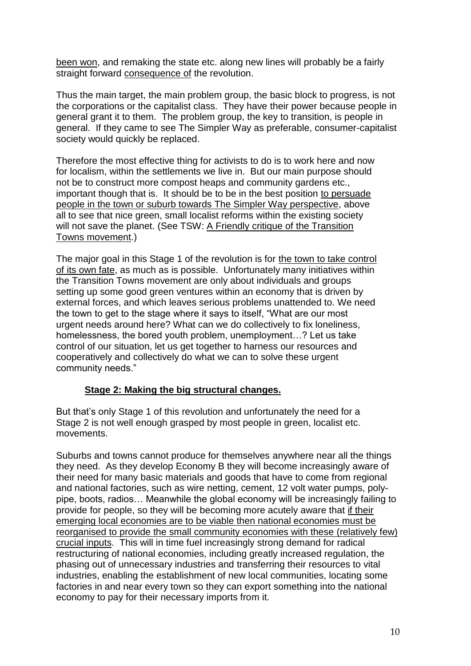been won, and remaking the state etc. along new lines will probably be a fairly straight forward consequence of the revolution.

Thus the main target, the main problem group, the basic block to progress, is not the corporations or the capitalist class. They have their power because people in general grant it to them. The problem group, the key to transition, is people in general. If they came to see The Simpler Way as preferable, consumer-capitalist society would quickly be replaced.

Therefore the most effective thing for activists to do is to work here and now for localism, within the settlements we live in. But our main purpose should not be to construct more compost heaps and community gardens etc., important though that is. It should be to be in the best position to persuade people in the town or suburb towards The Simpler Way perspective, above all to see that nice green, small localist reforms within the existing society will not save the planet. (See TSW: A Friendly critique of the Transition Towns movement.)

The major goal in this Stage 1 of the revolution is for the town to take control of its own fate, as much as is possible. Unfortunately many initiatives within the Transition Towns movement are only about individuals and groups setting up some good green ventures within an economy that is driven by external forces, and which leaves serious problems unattended to. We need the town to get to the stage where it says to itself, "What are our most urgent needs around here? What can we do collectively to fix loneliness, homelessness, the bored youth problem, unemployment…? Let us take control of our situation, let us get together to harness our resources and cooperatively and collectively do what we can to solve these urgent community needs."

#### **Stage 2: Making the big structural changes.**

But that's only Stage 1 of this revolution and unfortunately the need for a Stage 2 is not well enough grasped by most people in green, localist etc. movements.

Suburbs and towns cannot produce for themselves anywhere near all the things they need. As they develop Economy B they will become increasingly aware of their need for many basic materials and goods that have to come from regional and national factories, such as wire netting, cement, 12 volt water pumps, polypipe, boots, radios… Meanwhile the global economy will be increasingly failing to provide for people, so they will be becoming more acutely aware that if their emerging local economies are to be viable then national economies must be reorganised to provide the small community economies with these (relatively few) crucial inputs. This will in time fuel increasingly strong demand for radical restructuring of national economies, including greatly increased regulation, the phasing out of unnecessary industries and transferring their resources to vital industries, enabling the establishment of new local communities, locating some factories in and near every town so they can export something into the national economy to pay for their necessary imports from it.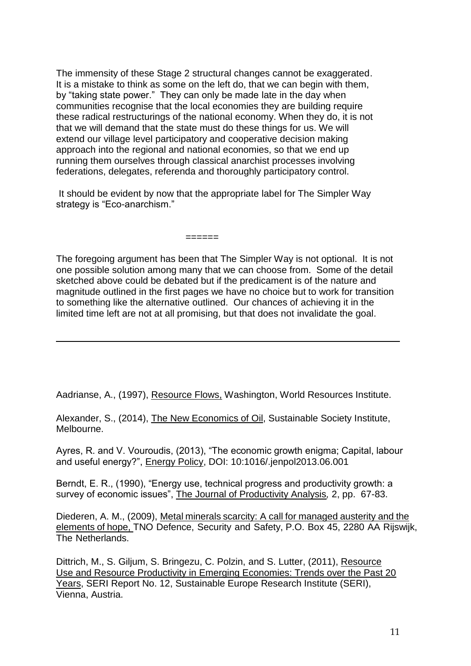The immensity of these Stage 2 structural changes cannot be exaggerated. It is a mistake to think as some on the left do, that we can begin with them, by "taking state power." They can only be made late in the day when communities recognise that the local economies they are building require these radical restructurings of the national economy. When they do, it is not that we will demand that the state must do these things for us. We will extend our village level participatory and cooperative decision making approach into the regional and national economies, so that we end up running them ourselves through classical anarchist processes involving federations, delegates, referenda and thoroughly participatory control.

It should be evident by now that the appropriate label for The Simpler Way strategy is "Eco-anarchism."

======

The foregoing argument has been that The Simpler Way is not optional. It is not one possible solution among many that we can choose from. Some of the detail sketched above could be debated but if the predicament is of the nature and magnitude outlined in the first pages we have no choice but to work for transition to something like the alternative outlined. Our chances of achieving it in the limited time left are not at all promising, but that does not invalidate the goal.

Aadrianse, A., (1997), Resource Flows, Washington, World Resources Institute.

Alexander, S., (2014), The New Economics of Oil, Sustainable Society Institute, Melbourne.

Ayres, R. and V. Vouroudis, (2013), "The economic growth enigma; Capital, labour and useful energy?", Energy Policy, DOI: 10:1016/.jenpol2013.06.001

Berndt, E. R., (1990), "Energy use, technical progress and productivity growth: a survey of economic issues", The Journal of Productivity Analysis*,* 2, pp. 67-83.

Diederen, A. M., (2009), Metal minerals scarcity: A call for managed austerity and the elements of hope, TNO Defence, Security and Safety, P.O. Box 45, 2280 AA Rijswijk, The Netherlands.

Dittrich, M., S. Giljum, S. Bringezu, C. Polzin, and S. Lutter, (2011), Resource Use and Resource Productivity in Emerging Economies: Trends over the Past 20 Years, SERI Report No. 12, Sustainable Europe Research Institute (SERI), Vienna, Austria.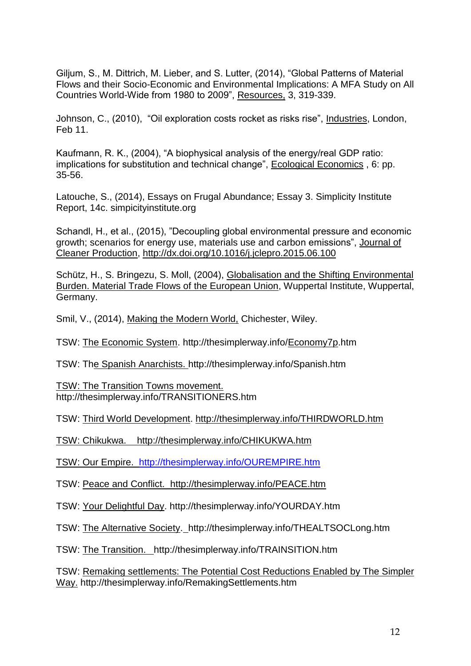Giljum, S., M. Dittrich, M. Lieber, and S. Lutter, (2014), "Global Patterns of Material Flows and their Socio-Economic and Environmental Implications: A MFA Study on All Countries World-Wide from 1980 to 2009", Resources, 3, 319-339.

Johnson, C., (2010), "Oil exploration costs rocket as risks rise", Industries, London, Feb 11.

Kaufmann, R. K., (2004), "A biophysical analysis of the energy/real GDP ratio: implications for substitution and technical change", Ecological Economics , 6: pp. 35-56.

Latouche, S., (2014), Essays on Frugal Abundance; Essay 3. Simplicity Institute Report, 14c. simpicityinstitute.org

Schandl, H., et al., (2015), "Decoupling global environmental pressure and economic growth; scenarios for energy use, materials use and carbon emissions", Journal of Cleaner Production,<http://dx.doi.org/10.1016/j.jclepro.2015.06.100>

Schütz, H., S. Bringezu, S. Moll, (2004), Globalisation and the Shifting Environmental Burden. Material Trade Flows of the European Union, Wuppertal Institute, Wuppertal, Germany.

Smil, V., (2014), Making the Modern World, Chichester, Wiley.

TSW: The Economic System. http://thesimplerway.info[/Economy7p.](http://thesimplerway.info/Economy7p.htm)htm

TSW: The Spanish Anarchists. http://thesimplerway.info/Spanish.htm

TSW: The Transition Towns movement. http://thesimplerway.info/TRANSITIONERS.htm

TSW: Third World Development.<http://thesimplerway.info/THIRDWORLD.htm>

TSW: Chikukwa. <http://thesimplerway.info/CHIKUKWA.htm>

TSW: Our Empire. [http://thesimplerway.info/OUREMPIRE.htm](http://thesimplerway.info/CHIKUKWA.htm)

TSW: Peace and Conflict. [http://thesimplerway.info/PEACE.htm](http://thesimplerway.info/CHIKUKWA.htm)

TSW: Your Delightful Day. http://thesimplerway.info[/YOURDAY.htm](http://thesimplerway.info/THEALTSOCLong.htm)

TSW: The Alternative Society. http://thesimplerway.info[/THEALTSOCLong.htm](http://thesimplerway.info/THEALTSOCLong.htm)

TSW: The Transition. http://thesimplerway.info/TRAINSITIO[N.htm](http://thesimplerway.info/THEALTSOCLong.htm)

TSW: Remaking settlements: The Potential Cost Reductions Enabled by The Simpler Way. http://thesimplerway.info/RemakingSettlements.htm